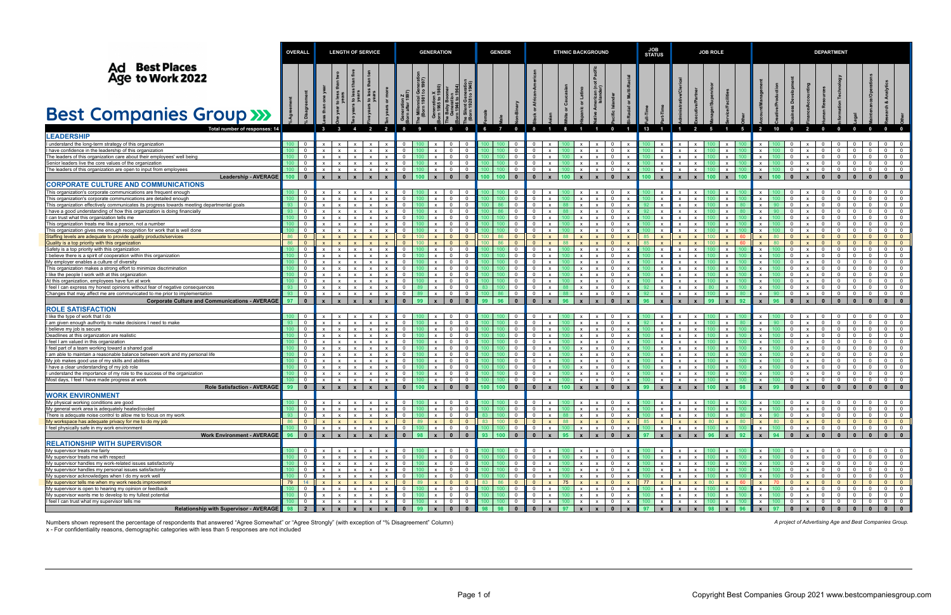|                                                                                                                                      | <b>OVERALL</b>              |                                        | <b>LENGTH OF SERVICE</b>                                     |                              |                              |                              | <b>GENERATION</b>                         |                                      |                              |                                                                                        |                  | <b>GENDER</b>      |                                |                                            |                              |                                      | <b>ETHNIC BACKGROUND</b>     |                                                                  |                              |                                                             |                              | <b>JOB ROLE</b>              |                                      |                                                  |                              | <b>DEPARTMENT</b> |                                                            |                                         |                                  |                                                                  |                                                                       |                                           |  |
|--------------------------------------------------------------------------------------------------------------------------------------|-----------------------------|----------------------------------------|--------------------------------------------------------------|------------------------------|------------------------------|------------------------------|-------------------------------------------|--------------------------------------|------------------------------|----------------------------------------------------------------------------------------|------------------|--------------------|--------------------------------|--------------------------------------------|------------------------------|--------------------------------------|------------------------------|------------------------------------------------------------------|------------------------------|-------------------------------------------------------------|------------------------------|------------------------------|--------------------------------------|--------------------------------------------------|------------------------------|-------------------|------------------------------------------------------------|-----------------------------------------|----------------------------------|------------------------------------------------------------------|-----------------------------------------------------------------------|-------------------------------------------|--|
| <b>Ad Best Places<br/>Age to Work 2022</b>                                                                                           |                             |                                        |                                                              | ίMθ<br>$\mathbf{S}$          | . ೭ ೩                        |                              |                                           | erau<br>997)<br>ඊ පි                 |                              |                                                                                        |                  |                    |                                |                                            |                              |                                      |                              |                                                                  |                              |                                                             |                              |                              |                                      |                                                  |                              |                   |                                                            |                                         |                                  |                                                                  |                                                                       |                                           |  |
| <b>Best Companies Group &gt;&gt;&gt;</b>                                                                                             |                             |                                        |                                                              |                              |                              |                              |                                           |                                      |                              |                                                                                        |                  |                    |                                |                                            |                              |                                      |                              |                                                                  |                              |                                                             |                              |                              |                                      |                                                  |                              |                   |                                                            |                                         |                                  |                                                                  |                                                                       |                                           |  |
| Total number of responses: 14<br><b>LEADERSHIP</b>                                                                                   |                             |                                        |                                                              | $\overline{4}$               | $\overline{2}$               | $\overline{2}$               |                                           |                                      |                              | $\overline{\mathbf{0}}$                                                                | - 6              | $\overline{7}$     | $\mathbf{0}$                   |                                            |                              |                                      |                              | $\mathbf{0}$                                                     |                              | 13                                                          |                              |                              | - 5                                  | 5                                                | $\overline{2}$               | 10                | $\Omega$                                                   |                                         |                                  |                                                                  |                                                                       |                                           |  |
| I understand the long-term strategy of this organization                                                                             | 100                         | $\overline{\mathbf{0}}$                | $\mathsf{x}$<br>$\mathbf{x}$                                 | x                            | $\mathsf{x}$                 |                              |                                           |                                      |                              | $\overline{0}$<br>$\overline{\mathbf{0}}$                                              |                  |                    |                                | $\mathbf 0$                                |                              |                                      | $\mathsf{x}$                 | $\overline{0}$                                                   | $\mathbf{x}$                 | $\mathsf{x}$                                                |                              |                              |                                      | $\mathsf{x}$                                     | $\mathsf{x}$                 |                   |                                                            |                                         |                                  |                                                                  | $\overline{0}$                                                        | $\overline{0}$                            |  |
| have confidence in the leadership of this organization<br>The leaders of this organization care about their employees' well being    | 100<br>100 <sub>1</sub>     | $\overline{0}$<br>$\overline{0}$       | $\boldsymbol{\mathsf{x}}$<br>$\mathsf{x}$<br>$\mathbf{x}$    | $\mathsf{x}$<br>x            | $\mathsf{X}$<br>$\mathsf{x}$ | $\mathsf{x}$                 | $\Omega$<br>$\mathbf 0$                   |                                      | $\mathsf{x}$<br>$\mathsf{x}$ | $\mathbf{0}$<br>$\overline{0}$<br>$\overline{0}$<br>$\overline{\mathbf{0}}$            |                  |                    | 0<br>$\mathbf 0$               | $\overline{0}$<br>$\overline{0}$           |                              |                                      | $\mathsf{x}$<br>$\mathsf{x}$ | $\mathbf{0}$<br>$\mathsf{x}$<br>$\overline{0}$<br>$\mathbf{x}$   | $\mathsf{x}$<br>$\mathbf{x}$ | $\boldsymbol{\mathsf{x}}$<br>$\mathbf{x}$<br>100.           | $\mathsf{x}$<br>$\mathsf{x}$ | $\mathsf{x}$                 |                                      | $\mathsf{x}$<br>$\boldsymbol{\mathsf{x}}$        | $\mathsf{x}$<br>$\mathsf{x}$ |                   | $\Omega$<br>$\mathsf{x}$<br>$\mathbf 0$<br>$\mathsf{x}$    | - 0<br>$\overline{0}$                   | $\mathbf 0$                      | $\mathbf{0}$<br>$^{\circ}$<br>$\overline{0}$<br>$\overline{0}$   | $\Omega$<br>$\overline{0}$                                            | $\overline{0}$<br>$\overline{0}$          |  |
| Senior leaders live the core values of the organization                                                                              | 100 <sub>1</sub>            | $\overline{0}$                         | $\mathbf{x}$<br>$\mathsf{x}$                                 | $\mathsf{x}$                 | $\mathsf{x}$                 | X                            | $\overline{0}$                            |                                      | X                            | $\overline{0}$<br>$\overline{\mathbf{0}}$                                              |                  |                    | $\mathbf{0}$                   | $\overline{0}$                             | $\mathsf{x}$                 |                                      | $\mathsf{x}$                 | $\overline{0}$<br>$\mathbf{x}$                                   | $\mathbf{x}$                 | X                                                           | $\mathsf{x}$                 | $\mathbf{x}$                 |                                      | $\mathsf{x}$                                     | $\mathsf{x}$                 |                   | $^{\circ}$<br>$\mathsf{x}$                                 | $\overline{0}$                          | $^{\circ}$                       | $\mathbf{0}$<br>$\mathbf{0}$                                     | $\overline{0}$                                                        | $\overline{0}$                            |  |
| The leaders of this organization are open to input from employees                                                                    | 100                         | $\overline{\mathbf{0}}$                | $\mathsf{X}$<br>$\mathsf{x}$                                 | $\mathsf{x}$                 | $\mathbf{x}$                 | X                            | $\overline{0}$                            | 100                                  | $\mathsf{x}$                 | $\overline{0}$<br>- 0                                                                  |                  |                    | $\mathbf 0$                    | $\overline{0}$                             | $\mathsf{x}$                 |                                      | $\mathsf{x}$                 | $\overline{0}$<br>$\mathsf{x}$                                   | $\mathbf{x}$                 | 100 <sub>1</sub><br>$\mathsf{x}$                            | $\mathsf{x}$                 | $\mathbf{x}$                 |                                      | $\mathsf{X}$                                     | $\mathsf{x}$                 |                   | $\mathbf 0$<br>$\mathsf{x}$                                | $\overline{0}$                          | $\mathbf{0}$                     | $\overline{0}$<br>$\overline{0}$                                 | $\overline{0}$                                                        | $\overline{0}$                            |  |
| <b>Leadership - AVERAGE</b>                                                                                                          | $100$ 0                     |                                        | $\mathbf{x}$                                                 | $\mathbf{x}$                 | $\mathbf{x}$                 |                              | $\mathbf{0}$                              | 100                                  |                              | $\mathbf{0}$<br>$\mathbf{0}$                                                           |                  | 00   100           | $\mathbf{0}$                   | $\mathbf{0}$                               |                              |                                      |                              | $\mathbf{0}$<br>$\mathbf{x}$                                     | $\mathbf{x}$                 | 100 $\parallel$<br>$\mathbf{x}$                             |                              |                              |                                      | $\mathbf{x}$                                     | $\mathbf{x}$                 |                   |                                                            | $\mathbf{0}$                            |                                  | $\mathbf{0}$                                                     | $\mathbf{0}$                                                          | $\mathbf{0}$                              |  |
| <b>CORPORATE CULTURE AND COMMUNICATIONS</b>                                                                                          |                             |                                        |                                                              |                              |                              |                              |                                           |                                      |                              |                                                                                        |                  |                    |                                |                                            |                              |                                      |                              |                                                                  |                              |                                                             |                              |                              |                                      |                                                  |                              |                   |                                                            |                                         |                                  |                                                                  |                                                                       |                                           |  |
| This organization's corporate communications are frequent enough<br>This organization's corporate communications are detailed enough | $100$ 0<br>100 <sub>1</sub> | $\overline{0}$                         | $\mathsf{x}$<br>$\mathsf{x}$<br>$\mathbf{x}$                 | $\mathsf{x}$<br>$\mathbf{x}$ | $\mathsf{x}$<br>$\mathsf{X}$ | $\mathsf{x}$                 | $\mathbf 0$<br>$\overline{0}$             |                                      | X<br>$\mathbf{x}$            | $\overline{0}$<br>- 0<br>$\overline{0}$<br>$\overline{\mathbf{0}}$                     |                  |                    | 0<br>$\mathbf{0}$              | - 0<br>$\overline{0}$                      |                              |                                      | X<br>$\mathsf{x}$            | $\mathbf{0}$<br>$\overline{0}$<br>$\mathsf{x}$                   | $\mathsf{x}$<br>$\mathsf{x}$ | X<br>100<br>$\mathsf{x}$                                    | $\mathsf{x}$                 | $\mathsf{x}$                 |                                      | $\mathsf{x}$<br>$\mathbf{x}$                     | $\mathbf{x}$<br>$\mathsf{x}$ |                   | $^{\circ}$<br>X<br>$^{\circ}$<br>$\mathsf{x}$              | - 0<br>$\overline{0}$                   |                                  | $\mathbf{0}$<br>$\mathbf{0}$<br>$\mathbf{0}$<br>$\overline{0}$   | $\overline{0}$<br>$\Omega$                                            | $\overline{0}$<br>$\overline{0}$          |  |
| This organization effectively communicates its progress towards meeting departmental goals                                           | 93                          | $\overline{0}$                         | $\mathsf{x}$<br>$\mathsf{x}$                                 | $x \mid$                     | $\mathbf{x}$                 | $\mathsf{x}$                 | $\mathbf 0$                               |                                      | $\mathsf{x}$                 | $\overline{0}$<br>$\overline{\mathbf{0}}$                                              |                  |                    | $\mathbf{0}$                   | $\overline{0}$                             | $\mathsf{x}$                 |                                      | $\mathsf{x}$                 | $\overline{0}$<br>$\mathbf{x}$                                   | $\mathbf{x}$                 | $\mathsf{x}$                                                | $\mathsf{X}$                 | $\mathsf{x}$                 |                                      | $\mathsf{X}$                                     | $\mathsf{x}$                 |                   | $\mathbf 0$<br>$\mathsf{X}$                                | $\overline{\mathbf{0}}$                 | $\mathbf 0$                      | $\overline{0}$<br>$\overline{0}$                                 | $\overline{0}$                                                        | $\overline{0}$                            |  |
| l have a good understanding of how this organization is doing financially                                                            | 93                          | - 0                                    | $\mathbf{x}$                                                 | $\mathbf{x}$                 | $\mathbf{x}$                 |                              |                                           |                                      |                              | $\mathbf{0}$<br>- 0                                                                    |                  |                    |                                | 0                                          |                              |                                      | $\mathsf{x}$                 | $\Omega$                                                         | $\mathbf{x}$                 | X                                                           | $\mathsf{x}$                 |                              |                                      | $\mathsf{x}$                                     | $\mathbf{x}$                 |                   | $\mathbf 0$<br>$\mathsf{x}$                                | - 0                                     |                                  | $^{\circ}$<br>$\mathbf{0}$                                       |                                                                       | $\mathbf 0$                               |  |
| I can trust what this organization tells me                                                                                          | 100                         | $\overline{0}$                         | $\mathsf{X}$<br>$\mathsf{x}$                                 | $\mathsf{x}$                 | $\overline{\mathbf{x}}$      | $\mathsf{x}$                 | $\mathbf 0$                               |                                      | $\mathsf{x}$                 | $\overline{0}$<br>$\overline{\mathbf{0}}$                                              |                  |                    | $\mathbf{0}$                   | $\overline{0}$                             | $\mathsf{x}$                 |                                      | $\mathsf{x}$                 | $\overline{0}$<br>$\mathbf{x}$                                   | $\mathbf{x}$                 | $\mathsf{x}$                                                | $\mathsf{x}$                 |                              |                                      | $\mathsf{x}$                                     | $\mathsf{x}$                 |                   | $\mathbf 0$<br>$\mathsf{X}$                                | $\overline{0}$                          | $\mathbf 0$                      | $\mathbf{0}$<br>$\overline{0}$                                   | $\overline{\mathbf{0}}$                                               | $\mathbf 0$                               |  |
| This organization treats me like a person, not a number<br>This organization gives me enough recognition for work that is well done  | 100 <sub>1</sub><br>100     | $\overline{\mathbf{0}}$<br>$\mathbf 0$ | $\mathsf{x}$<br>$\mathsf{X}$                                 | $\mathsf{X}$<br>x            | $\mathsf{x}$<br>$\mathbf{x}$ | X                            | $\mathbf 0$<br>$\overline{0}$             |                                      | $\mathsf{x}$<br>$\mathbf{x}$ | $\overline{0}$<br>$\overline{\mathbf{0}}$<br>$\overline{0}$<br>$\overline{0}$          |                  |                    | $\mathbf{0}$<br>$\mathbf{0}$   | $\overline{0}$<br>$\overline{0}$           |                              |                                      | $\mathsf{x}$<br>$\mathsf{x}$ | $\overline{0}$<br>$\mathsf{x}$<br>$\overline{0}$<br>$\mathsf{x}$ | $\mathsf{x}$<br>$\mathbf{x}$ | $\mathsf{x}$<br>$\mathsf{x}$                                | $\mathsf{x}$<br>$\mathsf{x}$ |                              |                                      | $\mathsf{x}$<br>$\mathsf{x}$                     | $\mathsf{x}$<br>$\mathsf{x}$ |                   | $^{\circ}$<br>$\mathsf{x}$<br>$\Omega$<br>$\mathsf{x}$     | $\overline{0}$<br>$\overline{0}$        | $^{\circ}$                       | $\mathbf{0}$<br>$\mathbf{0}$<br>$\overline{0}$<br>$\overline{0}$ | $\Omega$<br>$\overline{\mathbf{0}}$                                   | $\mathbf 0$<br>$\mathbf{0}$               |  |
| Staffing levels are adequate to provide quality products/services                                                                    | 86                          | $\overline{0}$                         | $\mathbf{x}$<br>$\mathbf{x}$                                 | $\mathbf{x}$                 | $\mathbf{x}$                 |                              | $\overline{0}$                            | 100                                  | $\mathbf{x}$                 | $\overline{0}$<br>$\overline{\mathbf{0}}$                                              | 100              | 86                 | $\mathbf{0}$                   | $\mathbf{0}$                               |                              | 88                                   | $\mathsf{x}$                 | $\overline{0}$<br>$\mathsf{x}$                                   | $\mathbf{x}$                 | 85<br>$\mathbf{x}$                                          | $\mathsf{x}$                 |                              |                                      | $\mathsf{x}$                                     | $\mathsf{x}$                 | 80                | $\mathbf{0}$<br>$\mathbf{x}$                               | $\overline{0}$                          | $\mathbf{0}$                     | $\overline{0}$<br>$\overline{0}$                                 | $\overline{0}$                                                        | $\mathbf{0}$                              |  |
| Quality is a top priority with this organization                                                                                     | 86                          | $\overline{0}$                         | $\mathsf{x}$                                                 | $\mathbf{x}$                 | $\mathbf{x}$                 |                              | $\overline{0}$                            | 100                                  | $\mathbf{x}$                 | $\overline{0}$<br>$\overline{0}$                                                       | 100 <sub>1</sub> | 86                 | $\Omega$                       | $\overline{0}$                             |                              | 88                                   | $\mathsf{x}$                 | $\overline{0}$<br>$\mathbf{x}$                                   | $\mathbf{x}$                 | 85<br>$\mathbf{x}$                                          | $\mathsf{x}$                 |                              | 100                                  | $\mathsf{x}$<br>-60                              | $\mathbf{x}$                 |                   | $\overline{0}$<br>$\mathsf{x}$                             | $\Omega$                                | $\Omega$                         | $\mathbf{0}$<br>$\overline{0}$                                   | $\Omega$                                                              | $\overline{0}$                            |  |
| Safety is a top priority with this organization                                                                                      | 100                         | $\overline{0}$                         | $\mathbf{x}$<br>$\mathbf{x}$                                 | x                            | $\mathsf{x}$                 | X                            | $\mathbf 0$                               |                                      | $\mathsf{x}$                 | $\overline{0}$<br>- 0                                                                  |                  |                    | 0                              | 0                                          |                              |                                      | $\mathsf{x}$                 | $\overline{0}$<br>$\mathsf{x}$                                   | $\mathbf{x}$                 | X                                                           | $\mathsf{x}$                 |                              |                                      | $\mathsf{x}$                                     | $\mathsf{x}$                 |                   | $\mathbf 0$<br>$\mathsf{x}$                                | $\overline{0}$                          |                                  | $\mathbf 0$<br>$\mathbf{0}$                                      | $\Omega$                                                              | $\mathbf{0}$                              |  |
| I believe there is a spirit of cooperation within this organization                                                                  | 100                         | $\Omega$                               | $\mathsf{x}$<br>$\mathsf{x}$                                 | $\mathsf{x}$                 | $\mathbf{x}$                 | $\mathsf{x}$                 | $\mathbf 0$                               |                                      | $\mathsf{x}$                 | $\overline{0}$<br>$\overline{\mathbf{0}}$                                              |                  |                    | $\Omega$                       | $\overline{0}$                             |                              |                                      | $\mathsf{x}$                 | $\mathbf{0}$                                                     | $\mathbf{x}$                 | $\mathsf{x}$                                                | $\mathsf{x}$                 |                              |                                      | $\mathsf{x}$                                     | $\mathsf{x}$                 |                   | $\Omega$<br>$\mathsf{x}$                                   | - 0                                     | $\Omega$                         | $\mathbf 0$<br>$^{\circ}$                                        | $\overline{\mathbf{0}}$                                               | $\mathbf 0$                               |  |
| My employer enables a culture of diversity<br>This organization makes a strong effort to minimize discrimination                     | 100<br>100 <sub>1</sub>     | $\overline{0}$<br>$\overline{0}$       | $\mathsf{x}$<br>$\mathsf{x}$<br>$\mathbf{x}$                 | $\mathbf{x}$<br>x            | $\mathsf{X}$<br>$\mathsf{x}$ | $\mathbf{x}$                 | $\overline{0}$<br>$\mathbf 0$             |                                      | $\mathbf{x}$<br>$\mathsf{x}$ | $\overline{0}$<br>$\overline{0}$<br>$\mathbf{0}$<br>$\overline{\mathbf{0}}$            |                  |                    | $\Omega$<br>$\mathbf{0}$       | $\overline{0}$<br>$\overline{0}$           | $\mathsf{x}$                 |                                      | $\mathsf{x}$<br>$\mathsf{x}$ | $\overline{0}$<br>$\mathsf{x}$<br>$\overline{0}$<br>$\mathbf{x}$ | $\mathbf{x}$<br>$\mathbf{x}$ | $\mathsf{x}$<br>$\mathsf{x}$<br>100                         | $\mathsf{x}$<br>$\mathsf{x}$ | $\mathbf{x}$                 |                                      | $\mathsf{x}$<br>$\mathsf{x}$                     | $\mathsf{x}$<br>$\mathsf{x}$ |                   | $\Omega$<br>$\mathsf{x}$<br>$^{\circ}$<br>$\mathsf{x}$     | - 0<br>$\overline{\mathbf{0}}$          | $\Omega$                         | $\mathbf{0}$<br>$\Omega$<br>$\mathbf{0}$<br>$\overline{0}$       | $\Omega$<br>- 0                                                       | $\mathbf{0}$<br>$\mathbf{0}$              |  |
| like the people I work with at this organization                                                                                     | 100 <sub>1</sub>            | $\overline{0}$                         | $\mathsf{X}$<br>$\mathbf{x}$                                 | x                            | $\mathbf{x}$                 | $\mathsf{x}$                 | $\mathbf 0$                               |                                      | $\mathsf{x}$                 | $\overline{0}$<br>$\overline{\mathbf{0}}$                                              |                  |                    | 0                              | 0                                          | $\mathsf{x}$                 |                                      | $\mathsf{x}$                 | $\overline{0}$<br>$\mathbf{x}$                                   | $\mathbf{x}$                 | $\mathsf{x}$                                                | $\mathsf{x}$                 |                              |                                      | $\mathsf{x}$                                     | $\mathsf{x}$                 |                   | $\Omega$<br>$\mathsf{X}$                                   | - 0                                     | 0                                | $\overline{0}$<br>$\overline{0}$                                 | $\overline{\mathbf{0}}$                                               | $\mathbf 0$                               |  |
| At this organization, employees have fun at work                                                                                     | 100                         | - 0                                    | $\mathsf{x}$                                                 | $\mathbf{x}$                 | $\mathbf{x}$                 |                              | $\overline{0}$                            |                                      | $\mathsf{x}$                 | $\mathbf{0}$<br>$\Omega$                                                               |                  |                    | 0                              | $\overline{0}$                             |                              |                                      | $\mathsf{x}$                 | $\Omega$                                                         | $\mathbf{x}$                 | $\mathsf{x}$                                                | $\mathsf{x}$                 |                              |                                      | $\mathsf{x}$                                     | $\mathbf{x}$                 |                   | $\Omega$<br>$\mathsf{x}$                                   | - 0                                     |                                  | $\mathbf 0$<br>$\Omega$                                          | $\Omega$                                                              | $\mathbf{0}$                              |  |
| I feel I can express my honest opinions without fear of negative consequences                                                        | 93                          | $\overline{0}$                         | $\mathbf{x}$<br>$\mathbf{x}$                                 | x                            | $\mathbf{x}$                 | $\mathsf{x}$                 | $\overline{0}$                            |                                      | $\mathsf{x}$                 | $\overline{0}$<br>$\overline{\mathbf{0}}$                                              | 83               |                    | $\mathbf 0$                    | $\overline{0}$                             | $\mathsf{x}$                 |                                      | $\mathsf{x}$                 | $\overline{0}$<br>$\mathbf{x}$                                   | $\mathbf{x}$                 | 92 <sub>2</sub><br>$\mathsf{x}$                             | $\mathsf{x}$                 | $\mathbf{x}$                 | 80                                   | $\boldsymbol{\mathsf{x}}$                        | $\mathsf{x}$                 |                   | $\mathbf 0$<br>$\mathsf{x}$                                | $\overline{\mathbf{0}}$                 | $\mathbf 0$                      | $\overline{0}$<br>$\overline{0}$                                 | $\overline{0}$                                                        | $\overline{0}$                            |  |
| Changes that may affect me are communicated to me prior to implementation                                                            | 93                          | $\overline{0}$                         | $\mathsf{x}$<br>$\mathsf{X}$                                 | $\mathsf{x}$                 | $\mathsf{x}$                 | X                            | $\mathbf 0$                               |                                      | X                            | $\mathbf{0}$<br>$\overline{\mathbf{0}}$                                                |                  |                    | 0                              | $\overline{0}$                             | $\mathsf{x}$                 |                                      | $\boldsymbol{\mathsf{x}}$    | $\overline{0}$<br>$\mathsf{x}$                                   | $\mathbf{x}$                 | X                                                           | $\mathsf{x}$                 | $\mathsf{x}$                 |                                      | $\mathsf{x}$                                     | $\mathsf{x}$                 |                   | $\mathbf{0}$<br>$\mathsf{x}$                               | $\overline{\mathbf{0}}$                 | $\mathbf 0$                      | $\overline{0}$<br>$\mathbf{0}$                                   | $\overline{0}$                                                        | $\mathbf 0$                               |  |
| Corporate Culture and Communications - AVERAGE                                                                                       | 97                          | $\blacksquare$                         | $\mathbf{x}$<br>$\mathbf{x}$                                 | $\mathbf{x}$                 | $\mathbf{x}$                 |                              | $\mathbf{0}$                              | 99                                   |                              | $\mathbf{0}$<br>$\mathbf{0}$                                                           |                  | 96                 | $\mathbf{0}$                   | $\mathbf{0}$                               |                              | 96                                   |                              | $\mathbf{0}$<br>$\mathbf{x}$                                     | $\mathbf{x}$                 | 96<br>$\mathbf{x}$                                          |                              |                              | 99                                   |                                                  | $\mathbf{x}$                 |                   |                                                            | $\mathbf{0}$                            |                                  | $\mathbf{0}$                                                     | $\mathbf{0}$                                                          | $\mathbf{0}$                              |  |
| <b>ROLE SATISFACTION</b>                                                                                                             |                             |                                        |                                                              |                              |                              |                              | $\overline{0}$                            |                                      |                              |                                                                                        |                  |                    |                                |                                            |                              |                                      |                              |                                                                  |                              |                                                             |                              |                              |                                      |                                                  |                              | $100 -$           |                                                            |                                         |                                  |                                                                  |                                                                       |                                           |  |
| I like the type of work that I do<br>I am given enough authority to make decisions I need to make                                    | $100$ 0<br>93               | 0                                      | $x \mid x$<br>$\boldsymbol{\mathsf{x}}$                      | $\mathbf{x}$                 | $x \mid x$<br>$\mathbf{x}$   | $\mathsf{x}$<br>X            | $\overline{0}$                            | 100 <sup>°</sup>                     | $\mathsf{x}$<br>$\mathbf{x}$ | $0$ 0<br>$\overline{0}$<br>$\overline{\mathbf{0}}$                                     |                  | 100   100          | $^{\circ}$<br>0                | $\overline{0}$<br>$\overline{0}$           | $\mathsf{x}$                 | 100                                  | $x \mid x$<br>$\mathsf{x}$   | $0 \mid x$<br>$\overline{0}$<br>$\mathbf{x}$                     | $\mathbf{x}$                 | 100<br>$\mathbf{x}$<br>$\mathsf{x}$                         | x<br>$\mathsf{x}$            | $\mathsf{X}$                 |                                      | $\mathsf{x}$<br>100 <sub>1</sub><br>$\mathbf{x}$ | $\mathsf{x}$<br>$\mathsf{x}$ |                   | $\mathbf{0}$<br>$\mathsf{x}$<br>$\Omega$<br>$\mathsf{x}$   | $\overline{0}$<br>$\overline{0}$        | $\overline{0}$                   | $\overline{0}$<br>$\mathbf{0}$<br>$\mathbf{O}$                   | $\overline{0}$                                                        | $0$ 0 0<br>$\overline{0}$                 |  |
| I believe my job is secure                                                                                                           | 100                         | $\overline{0}$                         | $\mathsf{x}$<br>$\mathbf{x}$                                 | x                            | $\mathbf{x}$                 | $\mathsf{x}$                 | $\mathbf 0$                               |                                      | $\mathsf{x}$                 | $\overline{0}$<br>$\overline{\mathbf{0}}$                                              |                  |                    | $\mathbf 0$                    | $\overline{0}$                             |                              |                                      | $\mathsf{x}$                 | $\overline{0}$<br>$\mathbf{x}$                                   | $\mathbf{x}$                 | $\mathbf{x}$<br>100                                         | $\mathsf{x}$                 | $\mathbf{x}$                 |                                      | $\mathbf{x}$                                     | $\mathsf{x}$                 |                   | $\mathbf 0$<br>$\mathsf{x}$                                | $\overline{0}$                          | $\mathbf 0$                      | $\mathbf{0}$<br>$\overline{0}$                                   | $\overline{0}$                                                        | $\mathbf 0$                               |  |
| Deadlines at this organization are realistic                                                                                         | 100 <sub>1</sub>            | $\overline{0}$                         | $\mathbf{x}$<br>$\mathbf{x}$                                 | x                            | $\mathsf{x}$                 | $\mathbf{x}$                 | $\overline{0}$                            |                                      | $\mathsf{x}$                 | $\overline{0}$<br>$\overline{\mathbf{0}}$                                              |                  |                    | $\mathbf{0}$                   | $\overline{0}$                             | $\mathsf{x}$                 |                                      | $\mathsf{x}$                 | $\overline{0}$<br>$\mathbf{x}$                                   | $\mathbf{x}$                 | $\mathsf{x}$                                                | $\mathsf{x}$                 |                              |                                      | $\mathsf{x}$                                     | $\mathsf{x}$                 |                   | $^{\circ}$<br>$\mathsf{x}$                                 | $\overline{0}$                          | $\mathbf{0}$                     | $\overline{0}$<br>$\overline{0}$                                 | $\overline{0}$                                                        | $\mathbf{0}$                              |  |
| I feel I am valued in this organization                                                                                              | 100                         | $\overline{0}$                         | $\mathsf{X}$                                                 | $\mathsf{x}$                 | $\mathbf{x}$                 | $\mathbf{x}$                 | $\overline{0}$                            |                                      | $\mathsf{x}$                 | $\overline{0}$<br>$\Omega$                                                             |                  |                    | 0                              | $\overline{\mathbf{0}}$                    |                              |                                      | $\mathsf{x}$                 | $\overline{0}$                                                   | $\mathbf{x}$                 | $\mathsf{x}$                                                | $\mathsf{x}$                 | $\mathsf{x}$                 |                                      | $\mathsf{x}$                                     | $\mathsf{x}$                 |                   | $\mathbf 0$<br>$\mathsf{x}$                                | $\Omega$                                |                                  | $\mathbf{0}$<br>$\overline{0}$                                   | $\Omega$                                                              | $\mathbf 0$                               |  |
| I feel part of a team working toward a shared goal<br>I am able to maintain a reasonable balance between work and my personal life   | 100<br>100 <sub>1</sub>     | $\overline{0}$<br>$\Omega$             | $\mathsf{x}$<br>$\mathsf{x}$<br>$\mathsf{x}$<br>$\mathsf{x}$ | $\mathbf{x}$<br>$\mathsf{x}$ | $\mathsf{X}$<br>$\mathsf{x}$ | $\boldsymbol{\mathsf{x}}$    | $\overline{0}$<br>$\mathbf 0$             |                                      | $\mathsf{x}$<br>$\mathsf{x}$ | $\overline{0}$<br>$\overline{\mathbf{0}}$<br>$\overline{0}$<br>$\overline{\mathbf{0}}$ |                  |                    | 0<br>$\mathbf{0}$              | $\overline{0}$<br>$\overline{0}$           | $\mathbf{x}$<br>$\mathsf{x}$ |                                      | $\mathsf{x}$<br>$\mathsf{x}$ | $\overline{0}$<br>$\mathbf{x}$<br>$\overline{0}$<br>$\mathsf{x}$ | $\mathsf{x}$<br>$\mathbf{x}$ | $\mathsf{x}$<br>$\mathsf{x}$                                | $\mathsf{x}$<br>$\mathsf{x}$ |                              |                                      | $\mathsf{x}$<br>$\mathsf{x}$                     | $\mathsf{x}$<br>$\mathsf{x}$ |                   | $^{\circ}$<br>$\mathsf{x}$<br>$^{\circ}$<br>$\mathsf{x}$   | $\overline{0}$<br>$\overline{0}$        | $\mathbf{0}$<br>$\mathbf 0$      | $\mathbf{0}$<br>$\overline{0}$<br>$\mathbf{0}$<br>$\overline{0}$ | $\overline{0}$<br>$\overline{0}$                                      | $\mathbf 0$<br>$\overline{0}$             |  |
| My job makes good use of my skills and abilities                                                                                     | 100 <sub>1</sub>            | $\overline{0}$                         | $\mathsf{x}$<br>$\mathsf{x}$                                 | x                            | $\mathbf{x}$                 | $\mathsf{x}$                 | $\mathbf 0$                               |                                      | $\mathsf{x}$                 | $\overline{0}$<br>$\overline{\mathbf{0}}$                                              |                  |                    | 0                              | $\overline{0}$                             | $\mathsf{x}$                 |                                      | $\mathsf{x}$                 | $\overline{0}$<br>$\mathbf{x}$                                   | $\mathsf{X}$                 | $\mathsf{x}$                                                | $\mathsf{x}$                 | $\mathsf{x}$                 |                                      | $\mathsf{X}$                                     | $\mathsf{x}$                 |                   | $^{\circ}$<br>$\mathsf{x}$                                 | $\overline{0}$                          | $\mathbf{0}$                     | $\overline{0}$<br>$\overline{0}$                                 | $\overline{\mathbf{0}}$                                               | $\mathbf 0$                               |  |
| I have a clear understanding of my job role                                                                                          | 100                         | - 0                                    | $\mathsf{x}$<br>$\mathsf{x}$                                 | $\mathsf{x}$                 | $\mathsf{x}$                 | X                            | $\overline{0}$                            |                                      | $\mathsf{x}$                 | $\overline{0}$<br>$\overline{\mathbf{0}}$                                              |                  |                    | 0                              | $\overline{0}$                             | $\mathsf{x}$                 |                                      | $\mathsf{x}$                 | $\overline{0}$<br>$\mathbf{x}$                                   | $\mathbf{x}$                 | $\mathsf{x}$                                                | $\mathsf{x}$                 |                              |                                      | $\mathsf{x}$                                     | $\mathsf{x}$                 |                   | $\mathbf 0$<br>$\mathsf{x}$                                | $\Omega$                                | $^{\circ}$                       | $\mathbf 0$<br>$\mathbf{0}$                                      | $\overline{\mathbf{0}}$                                               | 0                                         |  |
| I understand the importance of my role to the success of the organization                                                            | 100                         | $\overline{\mathbf{0}}$                | $\mathsf{x}$<br>$\mathbf{x}$                                 | x                            | $\mathsf{x}$                 | $\mathbf{x}$                 | $\overline{0}$                            |                                      | $\mathsf{x}$                 | $\overline{0}$<br>$\overline{\mathbf{0}}$                                              |                  |                    | $\mathbf{0}$                   | $\overline{0}$                             | $\mathsf{x}$                 |                                      | $\boldsymbol{\mathsf{x}}$    | $\overline{0}$<br>$\mathsf{x}$                                   | $\mathbf{x}$                 | 100<br>$\mathsf{x}$                                         | $\mathsf{x}$                 | $\mathbf{x}$                 |                                      | $\mathsf{x}$                                     | $\mathsf{x}$                 |                   | $\mathbf 0$<br>$\mathsf{X}$                                | $\overline{\mathbf{0}}$                 | $^{\circ}$                       | $\mathbf{0}$<br>$\Omega$                                         | $\Omega$                                                              | $\mathbf{0}$                              |  |
| Most days, I feel I have made progress at work<br>Role Satisfaction - AVERAGE                                                        | 100                         | $\overline{0}$                         | $\mathbf{x}$<br>$\mathbf{x}$<br>$\mathbf{x}$                 | $\mathsf{x}$                 | $\mathbf{x}$                 | X                            | $\overline{0}$<br>$\overline{\mathbf{0}}$ | 100 <sub>1</sub><br>100              | $\mathsf{x}$                 | $\overline{0}$<br>$\overline{\mathbf{0}}$                                              |                  | 100                | $\overline{0}$                 | $\overline{0}$<br>$\mathbf{0}$             | $\mathsf{x}$                 | 100 <sub>1</sub><br>100'             | $\mathsf{x}$                 | $0 \mid x$<br>$\mathbf{x}$<br>$\overline{\phantom{0}}$           |                              | $100 -$<br>$\mathsf{x}$<br>99                               | $\mathsf{x}$<br>$\mathbf{x}$ | $\mathbf{x}$                 |                                      | $\mathsf{x}$                                     | $\mathsf{x}$<br>$\mathbf{x}$ | 99                | $\mathbf 0$<br>$\mathsf{X}$<br>$\mathbf{0}$                | $\overline{\mathbf{0}}$<br>$\mathbf{0}$ | $\mathbf{0}$<br>$0$ 0            | $\overline{0}$<br>$\overline{0}$<br>$\mathbf{0}$                 | $\overline{0}$                                                        | $\overline{0}$<br>$\overline{\mathbf{0}}$ |  |
|                                                                                                                                      |                             | $\mathbf{0}$                           |                                                              | $\mathbf{x}$<br>$\mathbf{x}$ | $\mathbf{x}$                 | $\mathbf{x}$                 |                                           |                                      | $\mathbf{x}$                 | $\begin{array}{c c} \hline \textbf{0} & \textbf{0} \end{array}$                        |                  |                    | $\bullet$                      |                                            | $\mathbf{x}$                 |                                      | $\mathbf{x}$                 | $\mathbf{x}$                                                     | $\mathbf{x}$                 | $\mathbf{x}$                                                |                              | $\mathbf{x}$                 |                                      | $\mathbf{x}$                                     |                              |                   | $\mathbf{x}$                                               |                                         |                                  |                                                                  | $\mathbf 0$                                                           |                                           |  |
| <b>WORK ENVIRONMENT</b><br>My physical working conditions are good                                                                   | $100$ 0                     |                                        | $x \mid x \mid x \mid x$                                     |                              |                              | $\mathsf{x}$                 |                                           |                                      |                              | $0$ 100 $\times$ 0 0                                                                   |                  | $100$   $100$      | $\overline{0}$                 | $\overline{0}$                             | $x \mid 100$                 |                                      | $x \mid x$                   |                                                                  | $0 \mid x$                   | $100$ x                                                     |                              |                              |                                      | $x \mid x \mid 100 \mid x \mid 100$              |                              | $x \mid 100$      | $\mathbf{0}$                                               | $x \mid 0$                              | $0$ 0 1                          |                                                                  |                                                                       | $0$ 0 0                                   |  |
| My general work area is adequately heated/cooled                                                                                     | $100$ 0                     |                                        | $x \mid x$                                                   |                              | $x \mid x$                   | $\mathbf{x}$                 | $\overline{0}$                            | 100                                  |                              | $x \mid 0 \mid 0$                                                                      |                  | $100$   $100$      | $\overline{0}$                 | $\overline{0}$                             | $\mathsf{x}$                 | 100                                  | $x \mid x$                   | $0 \mid x$                                                       |                              | $100$ x                                                     | $\mathsf{x}$                 | $\mathbf{x}$                 | 100                                  | $\mathbf{x}$<br>100 <sub>1</sub>                 | $\mathbf{x}$                 | 100 <sub>1</sub>  | $\mathbf 0$<br>$\mathsf{x}$                                | $\overline{0}$                          | $\overline{0}$                   | $\overline{0}$                                                   |                                                                       | 0 0 0 0                                   |  |
| There is adequate noise control to allow me to focus on my work                                                                      | 93                          | $\overline{0}$                         | $\mathbf{x}$<br>$\mathbf{x}$                                 |                              | $x \mid x$                   | $\mathsf{x}$                 | $\overline{0}$                            | 100 <sub>1</sub>                     | $\mathsf{x}$                 | $0$ 0                                                                                  |                  | 83   100           | $\overline{0}$                 | $\overline{\phantom{0}}$                   | $\mathbf{x}$                 | 88                                   | $x \mid x$                   | $0 \mid x$                                                       |                              | $100 \times$                                                | $\mathbf{x}$                 | $\mathsf{I}$ x               | 100                                  | $\mathbf{x}$                                     | $\mathbf{x}$                 |                   | $\mathbf 0$<br>$\mathbf{x}$                                | $\overline{0}$                          | $\overline{0}$                   | $\overline{0}$                                                   |                                                                       | 0 0 0 0                                   |  |
| My workspace has adequate privacy for me to do my job                                                                                | 86                          | $\overline{\mathbf{0}}$                | $\mathbf{x}$<br>$\mathbf{x}$                                 |                              | $x \mid x$                   | $\mathbf{x}$                 | $\overline{0}$                            | 89                                   | $\mathbf{x}$                 | $0$ 0                                                                                  | 83               | 100                | $\overline{0}$                 |                                            | $\mathsf{x}$                 | 88                                   | $x \mid x$                   |                                                                  | $0 \mid x$                   | $85$ $x$                                                    |                              | $x \mid x$                   | 80                                   | $\mathbf{x}$<br>80                               | $\mathbf{x}$                 | 80                | $\overline{0}$<br>$\mathsf{x}$                             | $\overline{\mathbf{0}}$                 | $\overline{0}$                   | $\overline{\mathbf{0}}$<br>$\overline{0}$                        | $\overline{\phantom{0}}$                                              | $\overline{\phantom{0}}$                  |  |
| I feel physically safe in my work environment                                                                                        | $100$ 0                     |                                        | $x \mid x$                                                   |                              | $x \mid x$                   | $\mathbf{x}$                 | $\overline{0}$                            | $100$ $x$                            |                              | $0$ 0                                                                                  |                  | $100$   $100$      | $\overline{0}$                 | $\overline{\phantom{0}}$                   | $x \mid 100$                 |                                      | $x \mid x$                   |                                                                  | $0 \mid x$                   | 100<br>$\mathsf{x}$                                         |                              | $x \mid x$                   | $100$ $\times$                       | 100 <sub>1</sub>                                 | $\mathbf{x}$                 | 100               | $\overline{0}$<br>$\mathsf{x}$                             |                                         |                                  |                                                                  |                                                                       | $0$ 0 0                                   |  |
| <b>Work Environment - AVERAGE</b>                                                                                                    | $96$ 0                      |                                        | $\mathbf{x}$<br>$\mathbf{x}$                                 | x                            | $\mathbf{x}$                 | $\mathbf{x}$                 | $\mathbf{0}$                              | 98                                   | $\mathbf{x}$                 | $\overline{\mathbf{0}}$<br>$\overline{\mathbf{0}}$                                     |                  | $93 \mid 100 \mid$ | $\mathbf{0}$                   | $\mathbf{0}$                               | $\mathbf{x}$                 | 95                                   | $\mathbf{x}$                 | $0 \mid x$<br>$\mathbf{x}$                                       |                              | $97$ $x$                                                    | $\mathbf{x}$                 | $\mathbf{x}$                 | 96                                   | 92<br>$\mathbf{x}$                               | $\mathbf{x}$                 | 94                | $\mathbf{0}$<br>$\mathbf{x}$                               | $\mathbf{0}$                            | $\mathbf{0}$                     | $\mathbf{0}$<br>$\mathbf{0}$                                     | $\mathbf{0}$                                                          | $\overline{\mathbf{0}}$                   |  |
| <b>RELATIONSHIP WITH SUPERVISOR</b>                                                                                                  |                             |                                        |                                                              |                              |                              |                              |                                           |                                      |                              |                                                                                        |                  |                    |                                |                                            |                              |                                      |                              |                                                                  |                              |                                                             |                              |                              |                                      |                                                  |                              |                   |                                                            |                                         |                                  |                                                                  |                                                                       |                                           |  |
| My supervisor treats me fairly<br>My supervisor treats me with respect                                                               | $100$ 0<br>$100$ 0          |                                        | $\mathsf{x}$<br>$\mathsf{X}$<br>$\mathbf{x}$<br>$\mathsf{x}$ |                              | $x \mid x$<br>$x \mid x$     | $\mathsf{x}$<br>$\mathsf{x}$ | $\overline{0}$<br>$\overline{0}$          | 100 <sup>°</sup><br>100 <sup>°</sup> | $\mathsf{x}$<br>$\mathsf{x}$ | $0 \mid 0$<br>$0$ 0                                                                    |                  | 100   100          | $\mathbf 0$<br>$\mathbf 0$     | $\overline{\mathbf{0}}$<br>$\overline{0}$  | $\mathsf{x}$<br>$\mathsf{x}$ | 100 <sub>1</sub>                     | $\mathsf{x}$<br>$\mathsf{x}$ | $\mathsf{X}$<br>$0 \mid x$<br>$0 \mid x$<br>$\mathsf{x}$         |                              | 100<br>$\mathbf{x}$<br>$\mathbf{x}$<br>$100$                | $\mathsf{x}$<br>$\mathbf{x}$ | $\mathbf{x}$<br>$\mathsf{x}$ | 100                                  | $\mathsf{x}$<br>$\mathbf{x}$                     | $\mathsf{x}$<br>$\mathsf{x}$ |                   | $\mathbf 0$<br>$\mathsf{x}$<br>$\mathbf 0$<br>$\mathsf{X}$ | $\overline{0}$<br>$\overline{0}$        | $\overline{0}$<br>$\overline{0}$ | $\overline{0}$<br>$\overline{0}$                                 |                                                                       | $0$ 0 0<br>$0$ 0 0                        |  |
| My supervisor handles my work-related issues satisfactorily                                                                          | 100                         | $\overline{0}$                         | $\mathbf{x}$<br>$\mathbf{x}$                                 |                              | $x \mid x$                   | $\mathsf{x}$                 | $\overline{0}$                            | 100                                  | $\mathbf{x}$                 | $\overline{0}$<br>$\overline{0}$                                                       |                  |                    | $\mathbf{0}$                   | $\overline{0}$                             | $\mathsf{x}$                 |                                      | $\mathbf{x}$                 | $0 \mid x$<br>$\mathsf{X}$                                       |                              | 100 <sub>1</sub><br>$\mathbf{x}$                            | $\mathbf{x}$                 | $\mathbf{x}$                 | 100 <sub>1</sub>                     | $\mathbf{x}$                                     | $\mathsf{x}$                 |                   | $\mathbf 0$<br>$\mathbf{x}$                                | $\overline{0}$                          | $\overline{0}$                   | $\overline{0}$<br>$\overline{0}$                                 | $\overline{0}$                                                        | $\overline{\mathbf{0}}$                   |  |
| My supervisor handles my personal issues satisfactorily                                                                              | 100                         | $\overline{0}$                         | $x \mid x$                                                   |                              | $x \mid x$                   | $\mathsf{x}$                 | $\overline{0}$                            | 100                                  | $\mathbf{x}$                 | $0$ 0                                                                                  |                  | 100                | $\mathbf{0}$                   | $\overline{0}$                             | $\mathbf{x}$                 | 100 <sub>1</sub>                     | $\mathsf{x}$                 | $0 \mid x$<br>$\mathsf{X}$                                       |                              | 100<br>$\mathsf{X}$                                         | $\mathbf{x}$                 | $\mathbf{x}$                 | 100                                  | $\mathbf{x}$                                     | $\mathbf{x}$                 |                   | $\mathbf 0$<br>$\mathbf{x}$                                | $\overline{\mathbf{0}}$                 | $\overline{0}$                   | $\overline{\mathbf{0}}$                                          |                                                                       | 0 0 0                                     |  |
| My supervisor acknowledges when I do my work well                                                                                    | 100 <sub>1</sub>            | $\overline{0}$                         | $\mathbf{x}$<br>$\mathsf{X}$                                 |                              | $x \mid x$                   | $\mathsf{x}$                 | $\overline{0}$                            | 100 <sup>°</sup>                     | $\mathsf{x}$                 | $\overline{0}$<br>$\overline{0}$                                                       | 100 l            |                    | $\overline{0}$                 | $\overline{0}$                             | $\mathsf{x}$                 |                                      | $\mathbf{x}$                 | $0 \mid x$<br>$\mathsf{X}$                                       |                              | 100 <sub>1</sub><br>$\mathbf{x}$                            | $\mathbf{x}$                 | $\mathsf{X}$                 |                                      | $\mathbf{x}$                                     | $\mathsf{x}$                 |                   | $\mathbf{x}$<br>$\mathbf 0$                                | $\overline{\mathbf{0}}$                 | 0                                | $\overline{\mathbf{0}}$                                          | $\begin{array}{c c c c c c} \hline \circ & \circ & \circ \end{array}$ | $\overline{0}$                            |  |
| My supervisor tells me when my work needs improvement                                                                                | 79 14                       |                                        | $\mathbf{x}$<br>$\mathbf{x}$                                 |                              | $x \mid x$                   | $\mathsf{x}$                 | $\overline{0}$                            | 89                                   | $\mathbf{x}$                 | $\overline{\phantom{0}}$ 0 $\overline{\phantom{0}}$<br>$\overline{\mathbf{0}}$         | 83               | 86                 | $\overline{0}$                 | $\overline{\mathbf{0}}$                    | $\mathsf{x}$                 | 75                                   | $\mathbf{x}$                 | $0 \mid x$<br>$\mathsf{X}$                                       |                              | $77 \mid x$                                                 |                              | $x \mid x$                   | 80                                   | $\mathbf{x}$                                     | $\mathbf{x}$                 | 70                | $\overline{0}$<br>$\mathbf{x}$                             | $\overline{\mathbf{0}}$                 | $\overline{0}$                   | $\overline{\mathbf{0}}$<br>$\overline{0}$                        | $\overline{0}$                                                        | $\overline{\mathbf{0}}$                   |  |
| My supervisor is open to hearing my opinion or feedback<br>My supervisor wants me to develop to my fullest potential                 | 100 <sub>1</sub><br>100     | $\overline{0}$<br>$\overline{0}$       | $\mathbf{x}$<br>$\mathbf{x}$<br>$\mathbf{x}$<br>$\mathsf{X}$ |                              | $x \mid x$<br>$x \mid x$     | $\mathsf{x}$<br>$\mathsf{x}$ | $\overline{0}$<br>$\overline{0}$          | 100 <sub>1</sub><br>100 <sub>1</sub> | $\mathbf{x}$<br>$\mathsf{x}$ | $0$ 0<br>0<br>$\overline{0}$                                                           | 100              | 100   100<br>100   | $\mathbf{0}$<br>$\overline{0}$ | $\overline{\phantom{0}}$<br>$\overline{0}$ | $\mathbf{x}$<br>$\mathsf{x}$ | 100 <sub>1</sub><br>100 <sub>1</sub> | $x \mid x$<br>$\mathsf{x}$   | $0 \mid x$<br>$0 \mid x$<br>$\mathbf{x}$                         |                              | 100 <sub>1</sub><br>$\mathbf{x}$<br>$100 -$<br>$\mathsf{x}$ | $\mathbf{x}$<br>$\mathbf{x}$ | $\mathbf{x}$<br>$\mathsf{x}$ | 100 <sup>°</sup><br>100 <sub>1</sub> | $\mathbf{x}$<br>$\mathbf{x}$                     | $\mathbf{x}$<br>$\mathbf{x}$ |                   | $\mathbf 0$<br>$\mathbf{x}$<br>$\mathbf 0$<br>$\mathbf{x}$ | $\overline{0}$<br>$\overline{0}$        | $\mathbf{0}$<br>$\overline{0}$   | $\overline{0}$<br>$\overline{0}$                                 | $0$ 0                                                                 | $\overline{0}$<br>0 0 0 0                 |  |
| I feel I can trust what my supervisor tells me                                                                                       | $100$ 0                     |                                        | $x \mid x$                                                   |                              | $x \mid x$                   | $\mathsf{x}$                 | $\overline{0}$                            | 100                                  | $\mathbf{x}$                 | $0$ 0                                                                                  |                  | 100   100          | $\overline{0}$                 | $\overline{0}$                             | $\mathsf{X}$                 | 100 <sub>1</sub>                     | $x \mid x$                   | $0 \mid x$                                                       |                              | $100$ $x$                                                   |                              | $x \mid x$                   | $100$ x                              |                                                  | $\mathsf{x}$                 | 100 l             | $\overline{\mathbf{0}}$<br>$\mathsf{x}$                    | $\overline{\mathbf{0}}$                 | $0 \quad 0$                      |                                                                  |                                                                       | $0$ 0 0                                   |  |
| Relationship with Supervisor - AVERAGE  98   2                                                                                       |                             |                                        | $\mathbf{x}$<br>$\mathbf{x}$                                 | $\mathbf{x}$                 | $\mathbf{x}$                 | $\mathbf{x}$                 | $\overline{0}$                            | 99                                   | $\mathbf{x}$                 | $\mathbf{0}$<br>$\mathbf{0}$                                                           | 98               | 98                 | $\bf{0}$                       | $\mathbf{0}$                               | x                            | 97                                   | $\mathbf{x}$                 | $\overline{\mathbf{0}}$<br>$\mathbf{x}$                          | $\mathbf{x}$                 | 97<br>$\mathbf{x}$                                          | $\mathbf{x}$                 | $\mathbf{x}$                 | 98                                   | $\mathbf{x}$                                     | $\mathbf{x}$                 | 97                | $\mathbf{0}$<br>$\mathbf{x}$                               | $\overline{\mathbf{0}}$                 | $\mathbf{0}$                     | $0-1$                                                            | $\mathbf{0}$                                                          |                                           |  |
|                                                                                                                                      |                             |                                        |                                                              |                              |                              |                              |                                           |                                      |                              |                                                                                        |                  |                    |                                |                                            |                              |                                      |                              |                                                                  |                              |                                                             |                              |                              |                                      |                                                  |                              |                   |                                                            |                                         |                                  |                                                                  |                                                                       |                                           |  |

Numbers shown represent the percentage of respondents that answered "Agree Somewhat" or "Agree Strongly" (with exception of "% Disagreement" Column) *A project of Advertising Age and Best Companies Group.* 

x - For confidentiality reasons, demographic categories with less than 5 responses are not included